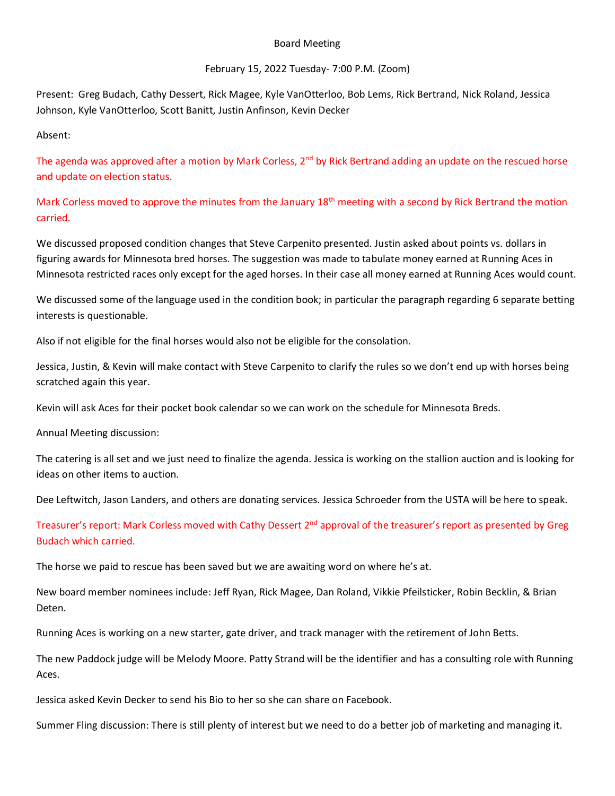## Board Meeting

## February 15, 2022 Tuesday- 7:00 P.M. (Zoom)

Present: Greg Budach, Cathy Dessert, Rick Magee, Kyle VanOtterloo, Bob Lems, Rick Bertrand, Nick Roland, Jessica Johnson, Kyle VanOtterloo, Scott Banitt, Justin Anfinson, Kevin Decker

Absent:

The agenda was approved after a motion by Mark Corless, 2<sup>nd</sup> by Rick Bertrand adding an update on the rescued horse and update on election status.

Mark Corless moved to approve the minutes from the January 18<sup>th</sup> meeting with a second by Rick Bertrand the motion carried.

We discussed proposed condition changes that Steve Carpenito presented. Justin asked about points vs. dollars in figuring awards for Minnesota bred horses. The suggestion was made to tabulate money earned at Running Aces in Minnesota restricted races only except for the aged horses. In their case all money earned at Running Aces would count.

We discussed some of the language used in the condition book; in particular the paragraph regarding 6 separate betting interests is questionable.

Also if not eligible for the final horses would also not be eligible for the consolation.

Jessica, Justin, & Kevin will make contact with Steve Carpenito to clarify the rules so we don't end up with horses being scratched again this year.

Kevin will ask Aces for their pocket book calendar so we can work on the schedule for Minnesota Breds.

Annual Meeting discussion:

The catering is all set and we just need to finalize the agenda. Jessica is working on the stallion auction and is looking for ideas on other items to auction.

Dee Leftwitch, Jason Landers, and others are donating services. Jessica Schroeder from the USTA will be here to speak.

Treasurer's report: Mark Corless moved with Cathy Dessert 2<sup>nd</sup> approval of the treasurer's report as presented by Greg Budach which carried.

The horse we paid to rescue has been saved but we are awaiting word on where he's at.

New board member nominees include: Jeff Ryan, Rick Magee, Dan Roland, Vikkie Pfeilsticker, Robin Becklin, & Brian Deten.

Running Aces is working on a new starter, gate driver, and track manager with the retirement of John Betts.

The new Paddock judge will be Melody Moore. Patty Strand will be the identifier and has a consulting role with Running Aces.

Jessica asked Kevin Decker to send his Bio to her so she can share on Facebook.

Summer Fling discussion: There is still plenty of interest but we need to do a better job of marketing and managing it.